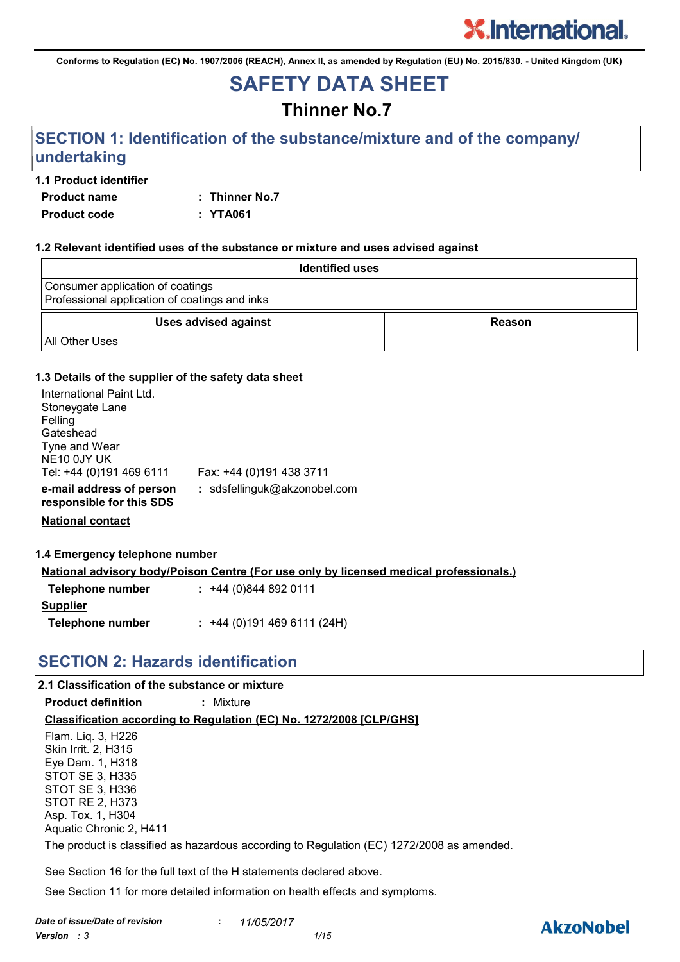**Conforms to Regulation (EC) No. 1907/2006 (REACH), Annex II, as amended by Regulation (EU) No. 2015/830. - United Kingdom (UK)**

## **SAFETY DATA SHEET**

### **Thinner No.7**

### **SECTION 1: Identification of the substance/mixture and of the company/ undertaking**

#### **1.1 Product identifier**

**Product name : Thinner No.7 Product code : YTA061**

#### **1.2 Relevant identified uses of the substance or mixture and uses advised against**

| <b>Identified uses</b>                                                            |        |
|-----------------------------------------------------------------------------------|--------|
| Consumer application of coatings<br>Professional application of coatings and inks |        |
| <b>Uses advised against</b>                                                       | Reason |
| <b>All Other Uses</b>                                                             |        |

#### **1.3 Details of the supplier of the safety data sheet**

| International Paint Ltd.<br>Stoneygate Lane<br>Felling |                              |
|--------------------------------------------------------|------------------------------|
| Gateshead                                              |                              |
| Tyne and Wear                                          |                              |
| NE10 0JY UK                                            |                              |
| Tel: +44 (0)191 469 6111                               | Fax: +44 (0)191 438 3711     |
| e-mail address of person<br>responsible for this SDS   | : sdsfellinguk@akzonobel.com |

**National contact**

#### **1.4 Emergency telephone number**

**National advisory body/Poison Centre (For use only by licensed medical professionals.)**

| $: +44(0)8448920111$      |
|---------------------------|
|                           |
| $: +44(0)1914696111(24H)$ |
|                           |

#### **SECTION 2: Hazards identification**

#### **2.1 Classification of the substance or mixture**

**Product definition :** Mixture

#### **Classification according to Regulation (EC) No. 1272/2008 [CLP/GHS]**

Flam. Liq. 3, H226 Skin Irrit. 2, H315 Eye Dam. 1, H318 STOT SE 3, H335 STOT SE 3, H336 STOT RE 2, H373 Asp. Tox. 1, H304 Aquatic Chronic 2, H411 The product is classified as hazardous according to Regulation (EC) 1272/2008 as amended.

See Section 16 for the full text of the H statements declared above.

See Section 11 for more detailed information on health effects and symptoms.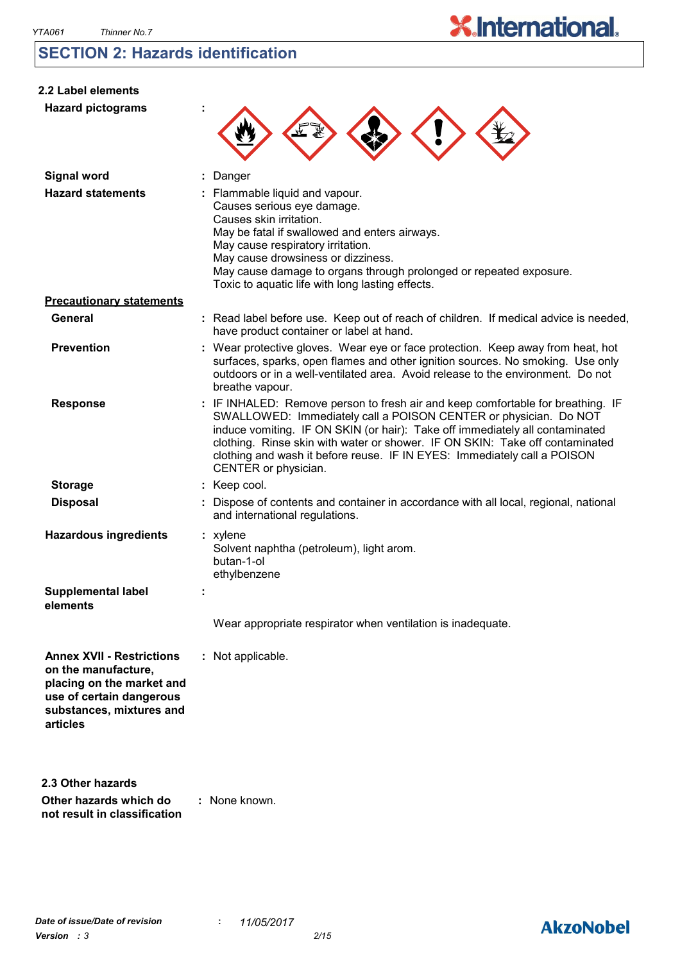### **SECTION 2: Hazards identification**

| 2.2 Label elements<br><b>Hazard pictograms</b>                                                                                                           |                                                                                                                                                                                                                                                                                                                                                                                                                         |
|----------------------------------------------------------------------------------------------------------------------------------------------------------|-------------------------------------------------------------------------------------------------------------------------------------------------------------------------------------------------------------------------------------------------------------------------------------------------------------------------------------------------------------------------------------------------------------------------|
| <b>Signal word</b><br><b>Hazard statements</b>                                                                                                           | : Danger<br>: Flammable liquid and vapour.<br>Causes serious eye damage.<br>Causes skin irritation.<br>May be fatal if swallowed and enters airways.<br>May cause respiratory irritation.<br>May cause drowsiness or dizziness.<br>May cause damage to organs through prolonged or repeated exposure.<br>Toxic to aquatic life with long lasting effects.                                                               |
| <b>Precautionary statements</b>                                                                                                                          |                                                                                                                                                                                                                                                                                                                                                                                                                         |
| <b>General</b>                                                                                                                                           | : Read label before use. Keep out of reach of children. If medical advice is needed,<br>have product container or label at hand.                                                                                                                                                                                                                                                                                        |
| <b>Prevention</b>                                                                                                                                        | : Wear protective gloves. Wear eye or face protection. Keep away from heat, hot<br>surfaces, sparks, open flames and other ignition sources. No smoking. Use only<br>outdoors or in a well-ventilated area. Avoid release to the environment. Do not<br>breathe vapour.                                                                                                                                                 |
| <b>Response</b>                                                                                                                                          | : IF INHALED: Remove person to fresh air and keep comfortable for breathing. IF<br>SWALLOWED: Immediately call a POISON CENTER or physician. Do NOT<br>induce vomiting. IF ON SKIN (or hair): Take off immediately all contaminated<br>clothing. Rinse skin with water or shower. IF ON SKIN: Take off contaminated<br>clothing and wash it before reuse. IF IN EYES: Immediately call a POISON<br>CENTER or physician. |
| <b>Storage</b>                                                                                                                                           | : Keep cool.                                                                                                                                                                                                                                                                                                                                                                                                            |
| <b>Disposal</b>                                                                                                                                          | : Dispose of contents and container in accordance with all local, regional, national<br>and international regulations.                                                                                                                                                                                                                                                                                                  |
| <b>Hazardous ingredients</b>                                                                                                                             | : xylene<br>Solvent naphtha (petroleum), light arom.<br>butan-1-ol<br>ethylbenzene                                                                                                                                                                                                                                                                                                                                      |
| <b>Supplemental label</b><br>elements                                                                                                                    |                                                                                                                                                                                                                                                                                                                                                                                                                         |
|                                                                                                                                                          | Wear appropriate respirator when ventilation is inadequate.                                                                                                                                                                                                                                                                                                                                                             |
| <b>Annex XVII - Restrictions</b><br>on the manufacture,<br>placing on the market and<br>use of certain dangerous<br>substances, mixtures and<br>articles | : Not applicable.                                                                                                                                                                                                                                                                                                                                                                                                       |
| 2.3 Other hazards<br>Other hazards which do<br>not result in classification                                                                              | : None known.                                                                                                                                                                                                                                                                                                                                                                                                           |



**X.International.**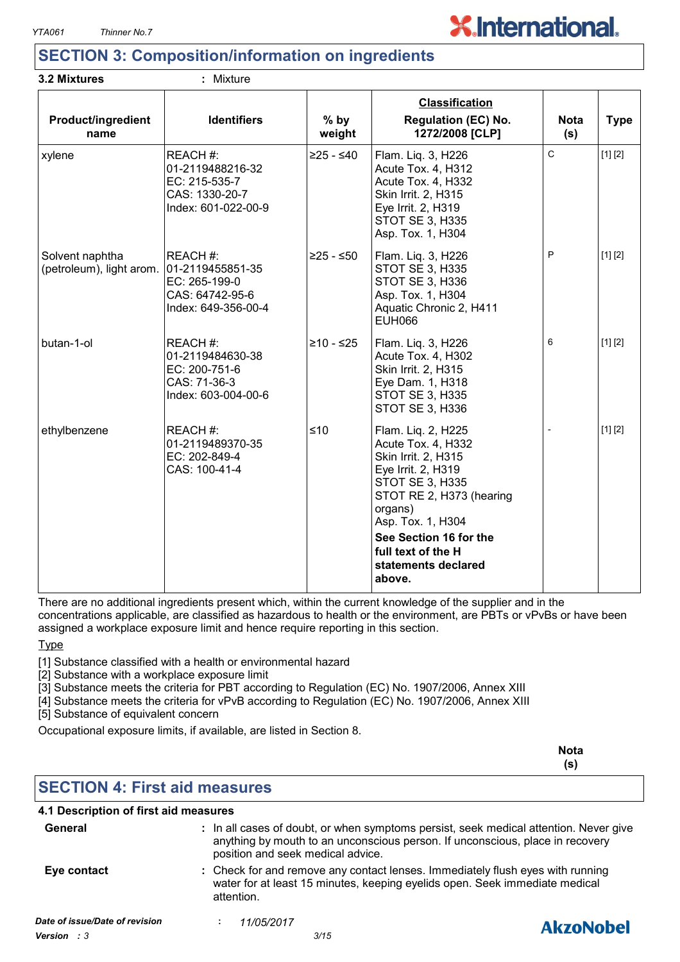

### **SECTION 3: Composition/information on ingredients**

#### **3.2 Mixtures :** Mixture

| <b>Product/ingredient</b><br>name                            | <b>Identifiers</b>                                                                    | $%$ by<br>weight | <b>Classification</b><br><b>Regulation (EC) No.</b><br>1272/2008 [CLP]                                                                                                                                                                                       | <b>Nota</b><br>(s) | <b>Type</b> |
|--------------------------------------------------------------|---------------------------------------------------------------------------------------|------------------|--------------------------------------------------------------------------------------------------------------------------------------------------------------------------------------------------------------------------------------------------------------|--------------------|-------------|
| xylene                                                       | REACH#:<br>01-2119488216-32<br>EC: 215-535-7<br>CAS: 1330-20-7<br>Index: 601-022-00-9 | $≥25 - ≤40$      | Flam. Lig. 3, H226<br>Acute Tox. 4, H312<br>Acute Tox. 4, H332<br>Skin Irrit. 2, H315<br>Eye Irrit. 2, H319<br><b>STOT SE 3, H335</b><br>Asp. Tox. 1, H304                                                                                                   | C                  | [1] [2]     |
| Solvent naphtha<br>(petroleum), light arom. 01-2119455851-35 | REACH #:<br>EC: 265-199-0<br>CAS: 64742-95-6<br>Index: 649-356-00-4                   | $≥25 - ≤50$      | Flam. Liq. 3, H226<br>STOT SE 3, H335<br>STOT SE 3, H336<br>Asp. Tox. 1, H304<br>Aquatic Chronic 2, H411<br><b>EUH066</b>                                                                                                                                    | P                  | [1] [2]     |
| butan-1-ol                                                   | REACH#:<br>01-2119484630-38<br>EC: 200-751-6<br>CAS: 71-36-3<br>Index: 603-004-00-6   | ≥10 - ≤25        | Flam. Liq. 3, H226<br>Acute Tox. 4, H302<br>Skin Irrit. 2, H315<br>Eye Dam. 1, H318<br><b>STOT SE 3, H335</b><br><b>STOT SE 3, H336</b>                                                                                                                      | 6                  | [1] [2]     |
| ethylbenzene                                                 | <b>IREACH</b> #:<br>01-2119489370-35<br>EC: 202-849-4<br>CAS: 100-41-4                | ≤10              | Flam. Liq. 2, H225<br>Acute Tox. 4, H332<br>Skin Irrit. 2, H315<br>Eye Irrit. 2, H319<br><b>STOT SE 3, H335</b><br>STOT RE 2, H373 (hearing<br>organs)<br>Asp. Tox. 1, H304<br>See Section 16 for the<br>full text of the H<br>statements declared<br>above. |                    | [1] [2]     |

There are no additional ingredients present which, within the current knowledge of the supplier and in the concentrations applicable, are classified as hazardous to health or the environment, are PBTs or vPvBs or have been assigned a workplace exposure limit and hence require reporting in this section.

**Type** 

[1] Substance classified with a health or environmental hazard

[2] Substance with a workplace exposure limit

[3] Substance meets the criteria for PBT according to Regulation (EC) No. 1907/2006, Annex XIII

[4] Substance meets the criteria for vPvB according to Regulation (EC) No. 1907/2006, Annex XIII

[5] Substance of equivalent concern

Occupational exposure limits, if available, are listed in Section 8.

|                                       |                                                                                                                                                                                                             | <b>Nota</b><br>(s) |
|---------------------------------------|-------------------------------------------------------------------------------------------------------------------------------------------------------------------------------------------------------------|--------------------|
| <b>SECTION 4: First aid measures</b>  |                                                                                                                                                                                                             |                    |
| 4.1 Description of first aid measures |                                                                                                                                                                                                             |                    |
| General                               | : In all cases of doubt, or when symptoms persist, seek medical attention. Never give<br>anything by mouth to an unconscious person. If unconscious, place in recovery<br>position and seek medical advice. |                    |
| Eye contact                           | : Check for and remove any contact lenses. Immediately flush eyes with running<br>water for at least 15 minutes, keeping eyelids open. Seek immediate medical<br>attention.                                 |                    |
| Date of issue/Date of revision        | 11/05/2017                                                                                                                                                                                                  | <b>AkzoNobel</b>   |
| Version : 3                           | 3/15                                                                                                                                                                                                        |                    |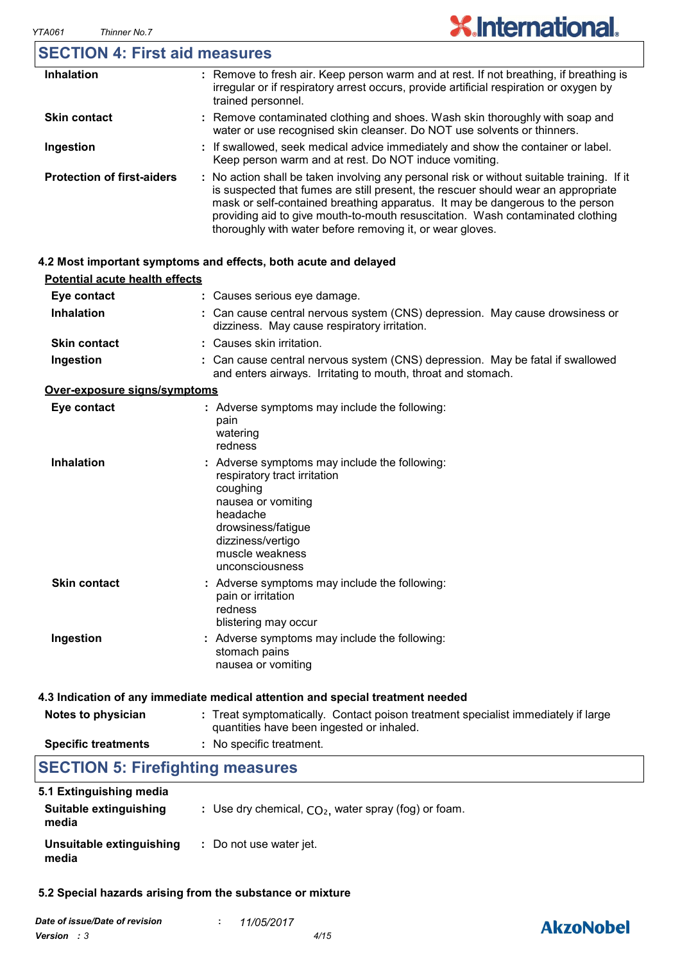### **SECTION 4: First aid measures**

| <b>Inhalation</b>                 | : Remove to fresh air. Keep person warm and at rest. If not breathing, if breathing is<br>irregular or if respiratory arrest occurs, provide artificial respiration or oxygen by<br>trained personnel.                                                                                                                                                                                                          |
|-----------------------------------|-----------------------------------------------------------------------------------------------------------------------------------------------------------------------------------------------------------------------------------------------------------------------------------------------------------------------------------------------------------------------------------------------------------------|
| <b>Skin contact</b>               | : Remove contaminated clothing and shoes. Wash skin thoroughly with soap and<br>water or use recognised skin cleanser. Do NOT use solvents or thinners.                                                                                                                                                                                                                                                         |
| Ingestion                         | : If swallowed, seek medical advice immediately and show the container or label.<br>Keep person warm and at rest. Do NOT induce vomiting.                                                                                                                                                                                                                                                                       |
| <b>Protection of first-aiders</b> | : No action shall be taken involving any personal risk or without suitable training. If it<br>is suspected that fumes are still present, the rescuer should wear an appropriate<br>mask or self-contained breathing apparatus. It may be dangerous to the person<br>providing aid to give mouth-to-mouth resuscitation. Wash contaminated clothing<br>thoroughly with water before removing it, or wear gloves. |

#### **4.2 Most important symptoms and effects, both acute and delayed**

| <b>Potential acute health effects</b> |                                                                                                                                                                                                              |
|---------------------------------------|--------------------------------------------------------------------------------------------------------------------------------------------------------------------------------------------------------------|
| Eye contact                           | : Causes serious eye damage.                                                                                                                                                                                 |
| Inhalation                            | : Can cause central nervous system (CNS) depression. May cause drowsiness or<br>dizziness. May cause respiratory irritation.                                                                                 |
| <b>Skin contact</b>                   | : Causes skin irritation.                                                                                                                                                                                    |
| Ingestion                             | : Can cause central nervous system (CNS) depression. May be fatal if swallowed<br>and enters airways. Irritating to mouth, throat and stomach.                                                               |
| Over-exposure signs/symptoms          |                                                                                                                                                                                                              |
| Eye contact                           | : Adverse symptoms may include the following:<br>pain<br>watering<br>redness                                                                                                                                 |
| <b>Inhalation</b>                     | : Adverse symptoms may include the following:<br>respiratory tract irritation<br>coughing<br>nausea or vomiting<br>headache<br>drowsiness/fatigue<br>dizziness/vertigo<br>muscle weakness<br>unconsciousness |
| <b>Skin contact</b>                   | : Adverse symptoms may include the following:<br>pain or irritation<br>redness<br>blistering may occur                                                                                                       |
| Ingestion                             | : Adverse symptoms may include the following:<br>stomach pains<br>nausea or vomiting                                                                                                                         |
|                                       | 4.3 Indication of any immediate medical attention and special treatment needed                                                                                                                               |
| Notes to physician                    | : Treat symptomatically. Contact poison treatment specialist immediately if large<br>quantities have been ingested or inhaled.                                                                               |

**Specific treatments :** No specific treatment.

### **SECTION 5: Firefighting measures**

| 5.1 Extinguishing media           |                                                        |
|-----------------------------------|--------------------------------------------------------|
| Suitable extinguishing<br>media   | : Use dry chemical, $CO2$ , water spray (fog) or foam. |
| Unsuitable extinguishing<br>media | : Do not use water jet.                                |

#### **5.2 Special hazards arising from the substance or mixture**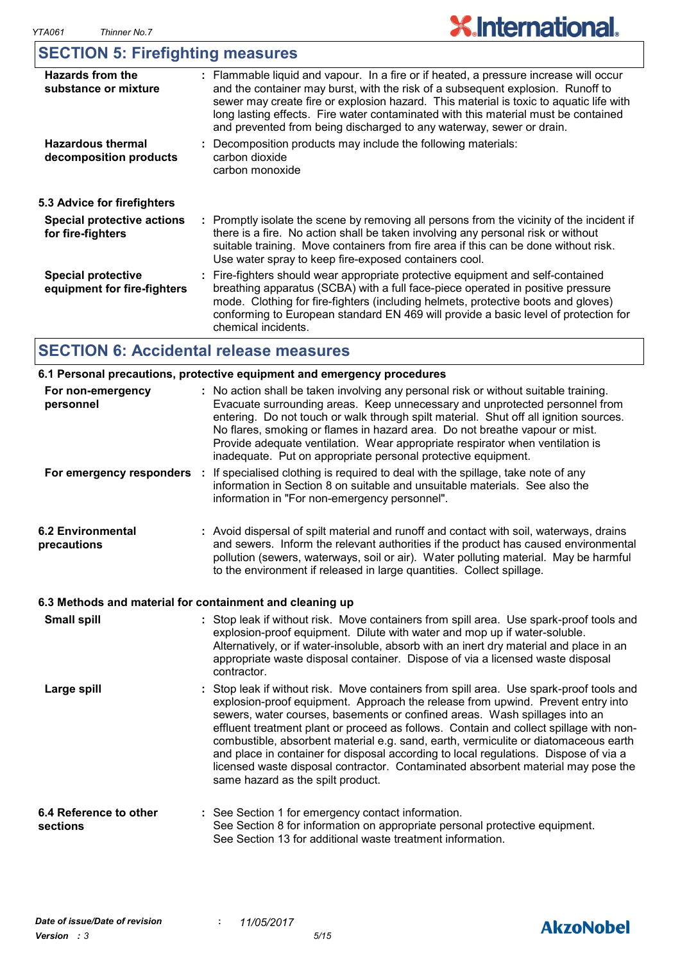### **SECTION 5: Firefighting measures**

| <b>Hazards from the</b><br>substance or mixture          | : Flammable liquid and vapour. In a fire or if heated, a pressure increase will occur<br>and the container may burst, with the risk of a subsequent explosion. Runoff to<br>sewer may create fire or explosion hazard. This material is toxic to aquatic life with<br>long lasting effects. Fire water contaminated with this material must be contained<br>and prevented from being discharged to any waterway, sewer or drain. |
|----------------------------------------------------------|----------------------------------------------------------------------------------------------------------------------------------------------------------------------------------------------------------------------------------------------------------------------------------------------------------------------------------------------------------------------------------------------------------------------------------|
| <b>Hazardous thermal</b><br>decomposition products       | : Decomposition products may include the following materials:<br>carbon dioxide<br>carbon monoxide                                                                                                                                                                                                                                                                                                                               |
| 5.3 Advice for firefighters                              |                                                                                                                                                                                                                                                                                                                                                                                                                                  |
| <b>Special protective actions</b><br>for fire-fighters   | : Promptly isolate the scene by removing all persons from the vicinity of the incident if<br>there is a fire. No action shall be taken involving any personal risk or without<br>suitable training. Move containers from fire area if this can be done without risk.<br>Use water spray to keep fire-exposed containers cool.                                                                                                    |
| <b>Special protective</b><br>equipment for fire-fighters | : Fire-fighters should wear appropriate protective equipment and self-contained<br>breathing apparatus (SCBA) with a full face-piece operated in positive pressure<br>mode. Clothing for fire-fighters (including helmets, protective boots and gloves)<br>conforming to European standard EN 469 will provide a basic level of protection for<br>chemical incidents.                                                            |

### **SECTION 6: Accidental release measures**

|                                         | 6.1 Personal precautions, protective equipment and emergency procedures                                                                                                                                                                                                                                                                                                                                                                                                                                                                                                                                                                                    |
|-----------------------------------------|------------------------------------------------------------------------------------------------------------------------------------------------------------------------------------------------------------------------------------------------------------------------------------------------------------------------------------------------------------------------------------------------------------------------------------------------------------------------------------------------------------------------------------------------------------------------------------------------------------------------------------------------------------|
| For non-emergency<br>personnel          | : No action shall be taken involving any personal risk or without suitable training.<br>Evacuate surrounding areas. Keep unnecessary and unprotected personnel from<br>entering. Do not touch or walk through spilt material. Shut off all ignition sources.<br>No flares, smoking or flames in hazard area. Do not breathe vapour or mist.<br>Provide adequate ventilation. Wear appropriate respirator when ventilation is<br>inadequate. Put on appropriate personal protective equipment.                                                                                                                                                              |
| For emergency responders :              | If specialised clothing is required to deal with the spillage, take note of any<br>information in Section 8 on suitable and unsuitable materials. See also the<br>information in "For non-emergency personnel".                                                                                                                                                                                                                                                                                                                                                                                                                                            |
| <b>6.2 Environmental</b><br>precautions | : Avoid dispersal of spilt material and runoff and contact with soil, waterways, drains<br>and sewers. Inform the relevant authorities if the product has caused environmental<br>pollution (sewers, waterways, soil or air). Water polluting material. May be harmful<br>to the environment if released in large quantities. Collect spillage.                                                                                                                                                                                                                                                                                                            |
|                                         | 6.3 Methods and material for containment and cleaning up                                                                                                                                                                                                                                                                                                                                                                                                                                                                                                                                                                                                   |
| <b>Small spill</b>                      | : Stop leak if without risk. Move containers from spill area. Use spark-proof tools and<br>explosion-proof equipment. Dilute with water and mop up if water-soluble.<br>Alternatively, or if water-insoluble, absorb with an inert dry material and place in an<br>appropriate waste disposal container. Dispose of via a licensed waste disposal<br>contractor.                                                                                                                                                                                                                                                                                           |
| Large spill                             | : Stop leak if without risk. Move containers from spill area. Use spark-proof tools and<br>explosion-proof equipment. Approach the release from upwind. Prevent entry into<br>sewers, water courses, basements or confined areas. Wash spillages into an<br>effluent treatment plant or proceed as follows. Contain and collect spillage with non-<br>combustible, absorbent material e.g. sand, earth, vermiculite or diatomaceous earth<br>and place in container for disposal according to local regulations. Dispose of via a<br>licensed waste disposal contractor. Contaminated absorbent material may pose the<br>same hazard as the spilt product. |
| 6.4 Reference to other<br>sections      | : See Section 1 for emergency contact information.<br>See Section 8 for information on appropriate personal protective equipment.<br>See Section 13 for additional waste treatment information.                                                                                                                                                                                                                                                                                                                                                                                                                                                            |

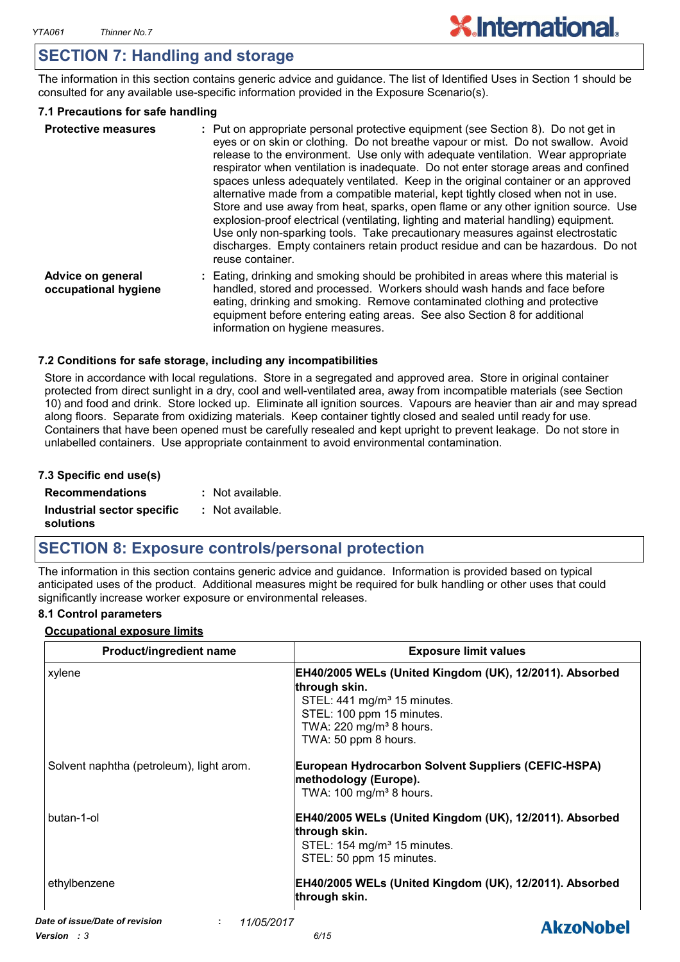### **SECTION 7: Handling and storage**

The information in this section contains generic advice and guidance. The list of Identified Uses in Section 1 should be consulted for any available use-specific information provided in the Exposure Scenario(s).

#### **7.1 Precautions for safe handling**

| <b>Protective measures</b>                | : Put on appropriate personal protective equipment (see Section 8). Do not get in<br>eyes or on skin or clothing. Do not breathe vapour or mist. Do not swallow. Avoid<br>release to the environment. Use only with adequate ventilation. Wear appropriate<br>respirator when ventilation is inadequate. Do not enter storage areas and confined<br>spaces unless adequately ventilated. Keep in the original container or an approved<br>alternative made from a compatible material, kept tightly closed when not in use.<br>Store and use away from heat, sparks, open flame or any other ignition source. Use<br>explosion-proof electrical (ventilating, lighting and material handling) equipment.<br>Use only non-sparking tools. Take precautionary measures against electrostatic<br>discharges. Empty containers retain product residue and can be hazardous. Do not<br>reuse container. |
|-------------------------------------------|----------------------------------------------------------------------------------------------------------------------------------------------------------------------------------------------------------------------------------------------------------------------------------------------------------------------------------------------------------------------------------------------------------------------------------------------------------------------------------------------------------------------------------------------------------------------------------------------------------------------------------------------------------------------------------------------------------------------------------------------------------------------------------------------------------------------------------------------------------------------------------------------------|
| Advice on general<br>occupational hygiene | : Eating, drinking and smoking should be prohibited in areas where this material is<br>handled, stored and processed. Workers should wash hands and face before<br>eating, drinking and smoking. Remove contaminated clothing and protective<br>equipment before entering eating areas. See also Section 8 for additional<br>information on hygiene measures.                                                                                                                                                                                                                                                                                                                                                                                                                                                                                                                                      |

#### **7.2 Conditions for safe storage, including any incompatibilities**

Store in accordance with local regulations. Store in a segregated and approved area. Store in original container protected from direct sunlight in a dry, cool and well-ventilated area, away from incompatible materials (see Section 10) and food and drink. Store locked up. Eliminate all ignition sources. Vapours are heavier than air and may spread along floors. Separate from oxidizing materials. Keep container tightly closed and sealed until ready for use. Containers that have been opened must be carefully resealed and kept upright to prevent leakage. Do not store in unlabelled containers. Use appropriate containment to avoid environmental contamination.

#### **7.3 Specific end use(s)**

| <b>Recommendations</b>                  | : Not available. |
|-----------------------------------------|------------------|
| Industrial sector specific<br>solutions | : Not available. |

#### **SECTION 8: Exposure controls/personal protection**

The information in this section contains generic advice and guidance. Information is provided based on typical anticipated uses of the product. Additional measures might be required for bulk handling or other uses that could significantly increase worker exposure or environmental releases.

#### **8.1 Control parameters**

#### **Occupational exposure limits**

| <b>Product/ingredient name</b>           | <b>Exposure limit values</b>                                                                                                                                                                                    |
|------------------------------------------|-----------------------------------------------------------------------------------------------------------------------------------------------------------------------------------------------------------------|
| xylene                                   | EH40/2005 WELs (United Kingdom (UK), 12/2011). Absorbed<br>∣through skin.<br>STEL: $441 \text{ mg/m}^3$ 15 minutes.<br>STEL: 100 ppm 15 minutes.<br>TWA: 220 mg/m <sup>3</sup> 8 hours.<br>TWA: 50 ppm 8 hours. |
| Solvent naphtha (petroleum), light arom. | European Hydrocarbon Solvent Suppliers (CEFIC-HSPA)<br>methodology (Europe).<br>TWA: 100 mg/m <sup>3</sup> 8 hours.                                                                                             |
| butan-1-ol                               | EH40/2005 WELs (United Kingdom (UK), 12/2011). Absorbed<br>through skin.<br>STEL: 154 mg/m <sup>3</sup> 15 minutes.<br>STEL: 50 ppm 15 minutes.                                                                 |
| ethylbenzene                             | EH40/2005 WELs (United Kingdom (UK), 12/2011). Absorbed<br>through skin.                                                                                                                                        |

*Date of issue/Date of revision* **:** *11/05/2017 Version : 3 6/15*

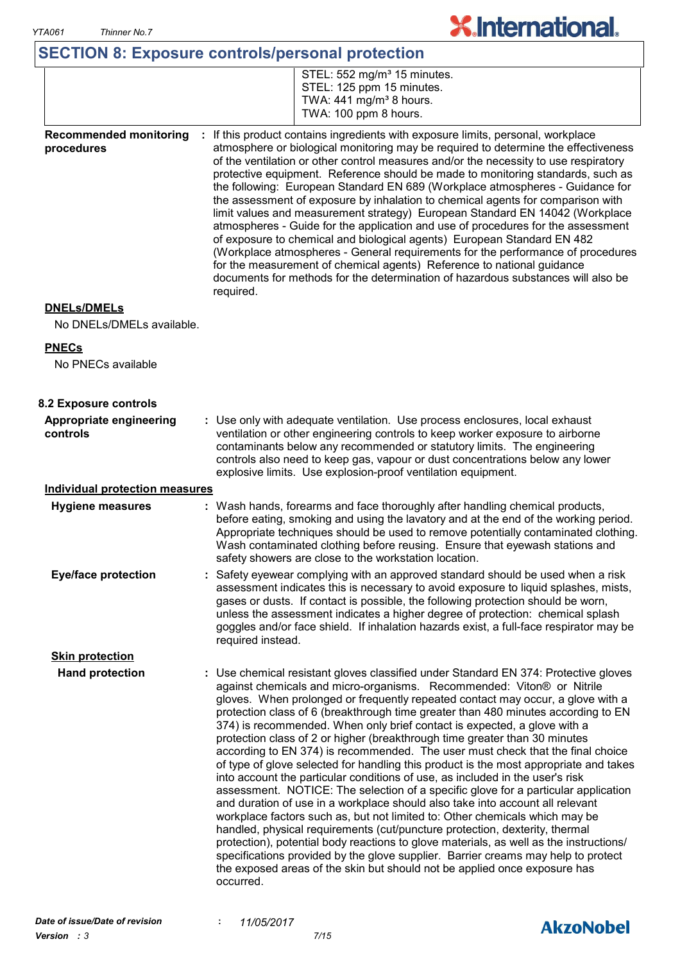### **SECTION 8: Exposure controls/personal protection**

| STEL: 552 mg/m <sup>3</sup> 15 minutes.<br>$\mid$ STEL: 125 ppm 15 minutes. |
|-----------------------------------------------------------------------------|
|                                                                             |
| TWA: $441$ mg/m <sup>3</sup> 8 hours.                                       |
| TWA: 100 ppm 8 hours.                                                       |
|                                                                             |

**X.International.** 

**Recommended monitoring procedures :** If this product contains ingredients with exposure limits, personal, workplace atmosphere or biological monitoring may be required to determine the effectiveness of the ventilation or other control measures and/or the necessity to use respiratory protective equipment. Reference should be made to monitoring standards, such as the following: European Standard EN 689 (Workplace atmospheres - Guidance for the assessment of exposure by inhalation to chemical agents for comparison with limit values and measurement strategy) European Standard EN 14042 (Workplace atmospheres - Guide for the application and use of procedures for the assessment of exposure to chemical and biological agents) European Standard EN 482 (Workplace atmospheres - General requirements for the performance of procedures for the measurement of chemical agents) Reference to national guidance documents for methods for the determination of hazardous substances will also be required.

#### **DNELs/DMELs**

No DNELs/DMELs available.

#### **PNECs**

No PNECs available

| 8.2 Exposure controls                 |                                                                                                                                                                                                                                                                                                                                                                                                                                                                                                                                                                                                                                                                                                                                                                                                                                                                                                                                                                                                                                                                                                                                                                                                                                                                                                                                                                          |
|---------------------------------------|--------------------------------------------------------------------------------------------------------------------------------------------------------------------------------------------------------------------------------------------------------------------------------------------------------------------------------------------------------------------------------------------------------------------------------------------------------------------------------------------------------------------------------------------------------------------------------------------------------------------------------------------------------------------------------------------------------------------------------------------------------------------------------------------------------------------------------------------------------------------------------------------------------------------------------------------------------------------------------------------------------------------------------------------------------------------------------------------------------------------------------------------------------------------------------------------------------------------------------------------------------------------------------------------------------------------------------------------------------------------------|
| Appropriate engineering<br>controls   | : Use only with adequate ventilation. Use process enclosures, local exhaust<br>ventilation or other engineering controls to keep worker exposure to airborne<br>contaminants below any recommended or statutory limits. The engineering<br>controls also need to keep gas, vapour or dust concentrations below any lower<br>explosive limits. Use explosion-proof ventilation equipment.                                                                                                                                                                                                                                                                                                                                                                                                                                                                                                                                                                                                                                                                                                                                                                                                                                                                                                                                                                                 |
| <b>Individual protection measures</b> |                                                                                                                                                                                                                                                                                                                                                                                                                                                                                                                                                                                                                                                                                                                                                                                                                                                                                                                                                                                                                                                                                                                                                                                                                                                                                                                                                                          |
| <b>Hygiene measures</b>               | : Wash hands, forearms and face thoroughly after handling chemical products,<br>before eating, smoking and using the lavatory and at the end of the working period.<br>Appropriate techniques should be used to remove potentially contaminated clothing.<br>Wash contaminated clothing before reusing. Ensure that eyewash stations and<br>safety showers are close to the workstation location.                                                                                                                                                                                                                                                                                                                                                                                                                                                                                                                                                                                                                                                                                                                                                                                                                                                                                                                                                                        |
| <b>Eye/face protection</b>            | : Safety eyewear complying with an approved standard should be used when a risk<br>assessment indicates this is necessary to avoid exposure to liquid splashes, mists,<br>gases or dusts. If contact is possible, the following protection should be worn,<br>unless the assessment indicates a higher degree of protection: chemical splash<br>goggles and/or face shield. If inhalation hazards exist, a full-face respirator may be<br>required instead.                                                                                                                                                                                                                                                                                                                                                                                                                                                                                                                                                                                                                                                                                                                                                                                                                                                                                                              |
| <b>Skin protection</b>                |                                                                                                                                                                                                                                                                                                                                                                                                                                                                                                                                                                                                                                                                                                                                                                                                                                                                                                                                                                                                                                                                                                                                                                                                                                                                                                                                                                          |
| <b>Hand protection</b>                | : Use chemical resistant gloves classified under Standard EN 374: Protective gloves<br>against chemicals and micro-organisms. Recommended: Viton® or Nitrile<br>gloves. When prolonged or frequently repeated contact may occur, a glove with a<br>protection class of 6 (breakthrough time greater than 480 minutes according to EN<br>374) is recommended. When only brief contact is expected, a glove with a<br>protection class of 2 or higher (breakthrough time greater than 30 minutes<br>according to EN 374) is recommended. The user must check that the final choice<br>of type of glove selected for handling this product is the most appropriate and takes<br>into account the particular conditions of use, as included in the user's risk<br>assessment. NOTICE: The selection of a specific glove for a particular application<br>and duration of use in a workplace should also take into account all relevant<br>workplace factors such as, but not limited to: Other chemicals which may be<br>handled, physical requirements (cut/puncture protection, dexterity, thermal<br>protection), potential body reactions to glove materials, as well as the instructions/<br>specifications provided by the glove supplier. Barrier creams may help to protect<br>the exposed areas of the skin but should not be applied once exposure has<br>occurred. |

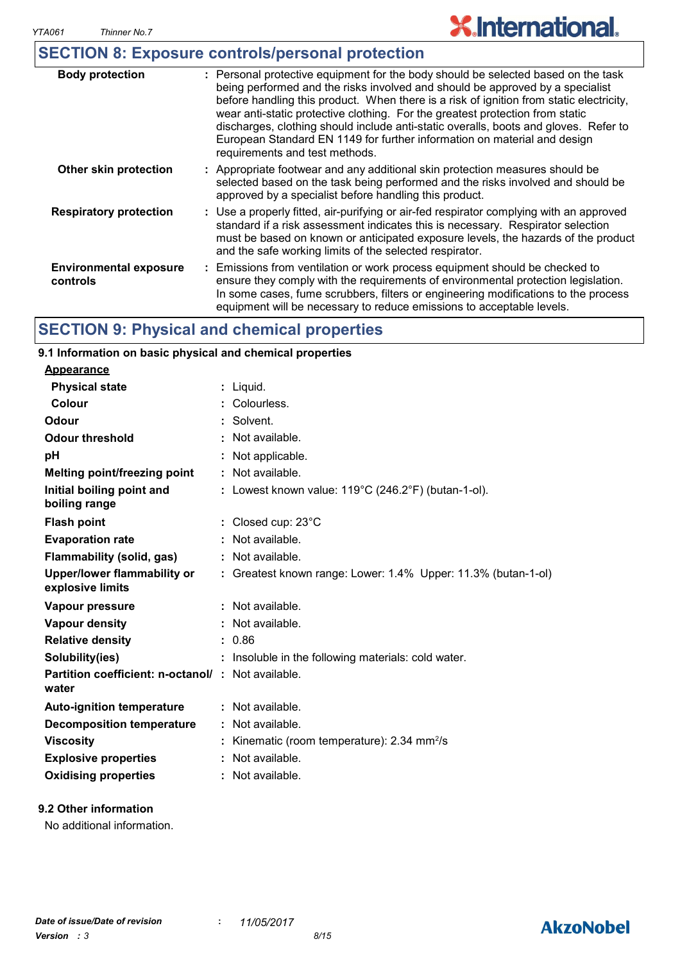### **SECTION 8: Exposure controls/personal protection**

| <b>Body protection</b>                    | : Personal protective equipment for the body should be selected based on the task<br>being performed and the risks involved and should be approved by a specialist<br>before handling this product. When there is a risk of ignition from static electricity,<br>wear anti-static protective clothing. For the greatest protection from static<br>discharges, clothing should include anti-static overalls, boots and gloves. Refer to<br>European Standard EN 1149 for further information on material and design<br>requirements and test methods. |
|-------------------------------------------|------------------------------------------------------------------------------------------------------------------------------------------------------------------------------------------------------------------------------------------------------------------------------------------------------------------------------------------------------------------------------------------------------------------------------------------------------------------------------------------------------------------------------------------------------|
| Other skin protection                     | : Appropriate footwear and any additional skin protection measures should be<br>selected based on the task being performed and the risks involved and should be<br>approved by a specialist before handling this product.                                                                                                                                                                                                                                                                                                                            |
| <b>Respiratory protection</b>             | : Use a properly fitted, air-purifying or air-fed respirator complying with an approved<br>standard if a risk assessment indicates this is necessary. Respirator selection<br>must be based on known or anticipated exposure levels, the hazards of the product<br>and the safe working limits of the selected respirator.                                                                                                                                                                                                                           |
| <b>Environmental exposure</b><br>controls | : Emissions from ventilation or work process equipment should be checked to<br>ensure they comply with the requirements of environmental protection legislation.<br>In some cases, fume scrubbers, filters or engineering modifications to the process<br>equipment will be necessary to reduce emissions to acceptable levels.                                                                                                                                                                                                                      |

### **SECTION 9: Physical and chemical properties**

### **9.1 Information on basic physical and chemical properties**

| <b>Appearance</b>                                                 |                                                               |
|-------------------------------------------------------------------|---------------------------------------------------------------|
| <b>Physical state</b>                                             | : Liquid.                                                     |
| Colour                                                            | : Colourless.                                                 |
| Odour                                                             | : Solvent.                                                    |
| <b>Odour threshold</b>                                            | : Not available.                                              |
| рH                                                                | Not applicable.                                               |
| <b>Melting point/freezing point</b>                               | : Not available.                                              |
| Initial boiling point and<br>boiling range                        | : Lowest known value: $119^{\circ}$ C (246.2°F) (butan-1-ol). |
| <b>Flash point</b>                                                | : Closed cup: $23^{\circ}$ C                                  |
| <b>Evaporation rate</b>                                           | : Not available.                                              |
| <b>Flammability (solid, gas)</b>                                  | : Not available.                                              |
| <b>Upper/lower flammability or</b><br>explosive limits            | : Greatest known range: Lower: 1.4% Upper: 11.3% (butan-1-ol) |
| Vapour pressure                                                   | : Not available.                                              |
| Vapour density                                                    | : Not available.                                              |
| <b>Relative density</b>                                           | : 0.86                                                        |
| Solubility(ies)                                                   | : Insoluble in the following materials: cold water.           |
| <b>Partition coefficient: n-octanol/: Not available.</b><br>water |                                                               |
| <b>Auto-ignition temperature</b>                                  | $:$ Not available.                                            |
| <b>Decomposition temperature</b>                                  | : Not available.                                              |
| <b>Viscosity</b>                                                  | Kinematic (room temperature): 2.34 mm <sup>2</sup> /s         |
| <b>Explosive properties</b>                                       | : Not available.                                              |
| <b>Oxidising properties</b>                                       | : Not available.                                              |

#### **9.2 Other information**

No additional information.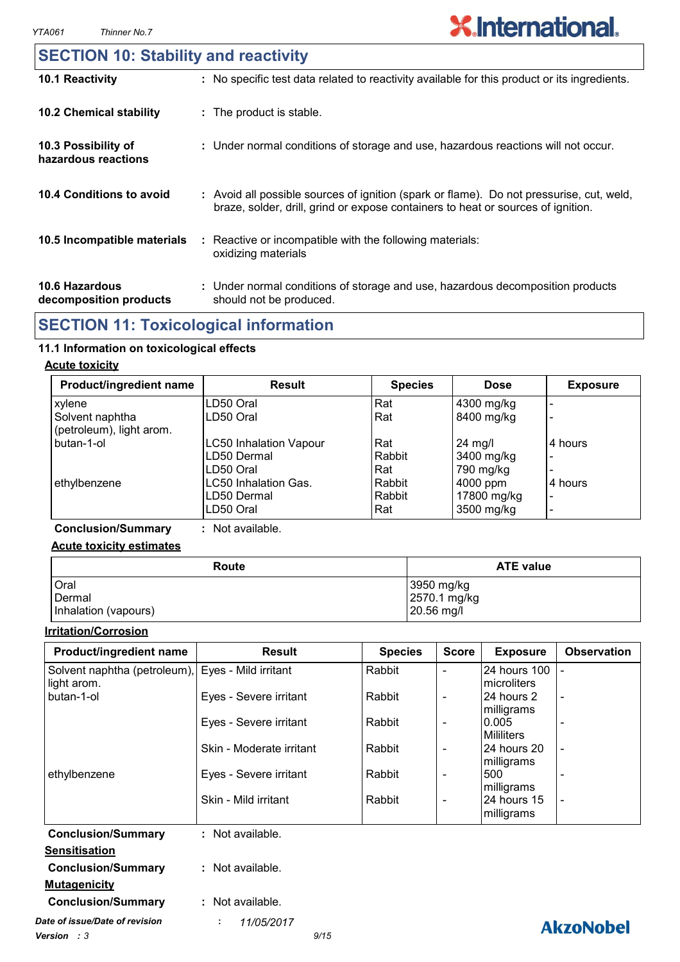| <b>SECTION 10: Stability and reactivity</b>     |                                                                                                                                                                              |
|-------------------------------------------------|------------------------------------------------------------------------------------------------------------------------------------------------------------------------------|
| 10.1 Reactivity                                 | : No specific test data related to reactivity available for this product or its ingredients.                                                                                 |
| <b>10.2 Chemical stability</b>                  | : The product is stable.                                                                                                                                                     |
| 10.3 Possibility of<br>hazardous reactions      | : Under normal conditions of storage and use, hazardous reactions will not occur.                                                                                            |
| 10.4 Conditions to avoid                        | : Avoid all possible sources of ignition (spark or flame). Do not pressurise, cut, weld,<br>braze, solder, drill, grind or expose containers to heat or sources of ignition. |
| 10.5 Incompatible materials                     | : Reactive or incompatible with the following materials:<br>oxidizing materials                                                                                              |
| <b>10.6 Hazardous</b><br>decomposition products | : Under normal conditions of storage and use, hazardous decomposition products<br>should not be produced.                                                                    |

### **SECTION 11: Toxicological information**

### **11.1 Information on toxicological effects**

#### **Acute toxicity**

| Product/ingredient name                     | <b>Result</b>               | <b>Species</b> | <b>Dose</b>       | <b>Exposure</b>              |
|---------------------------------------------|-----------------------------|----------------|-------------------|------------------------------|
| xylene                                      | LD50 Oral                   | Rat            | 4300 mg/kg        |                              |
| Solvent naphtha<br>(petroleum), light arom. | LD50 Oral                   | Rat            | 8400 mg/kg        | $\overline{\phantom{0}}$     |
| butan-1-ol                                  | LC50 Inhalation Vapour      | Rat            | $24 \text{ mg/l}$ | 4 hours                      |
|                                             | LD50 Dermal                 | Rabbit         | 3400 mg/kg        | $\overline{\phantom{0}}$     |
|                                             | LD50 Oral                   | Rat            | 790 mg/kg         |                              |
| ethylbenzene                                | <b>LC50 Inhalation Gas.</b> | Rabbit         | 4000 ppm          | 4 hours                      |
|                                             | LD50 Dermal                 | Rabbit         | 17800 mg/kg       | $\qquad \qquad \blacksquare$ |
|                                             | LD50 Oral                   | Rat            | 3500 mg/kg        | $\overline{\phantom{a}}$     |

**Conclusion/Summary :** Not available.

#### **Acute toxicity estimates**

| Route                | <b>ATE value</b> |
|----------------------|------------------|
| Oral                 | 3950 mg/kg       |
| Dermal               | 2570.1 mg/kg     |
| Inhalation (vapours) | 20.56 mg/l       |

#### **Irritation/Corrosion**

| Product/ingredient name                           | <b>Result</b>            | <b>Species</b> | <b>Score</b>             | <b>Exposure</b>          | <b>Observation</b>       |
|---------------------------------------------------|--------------------------|----------------|--------------------------|--------------------------|--------------------------|
| Solvent naphtha (petroleum), Eyes - Mild irritant |                          | Rabbit         | $\overline{\phantom{0}}$ | 24 hours 100             | $\overline{\phantom{0}}$ |
| light arom.                                       |                          |                |                          | microliters              |                          |
| butan-1-ol                                        | Eyes - Severe irritant   | Rabbit         | $\overline{\phantom{a}}$ | 24 hours 2<br>milligrams | $\blacksquare$           |
|                                                   | Eyes - Severe irritant   | Rabbit         | $\blacksquare$           | 0.005                    |                          |
|                                                   |                          |                |                          | <b>Mililiters</b>        |                          |
|                                                   | Skin - Moderate irritant | Rabbit         | $\overline{\phantom{a}}$ | 24 hours 20              | $\blacksquare$           |
|                                                   |                          |                |                          | milligrams               |                          |
| ethylbenzene                                      | Eyes - Severe irritant   | Rabbit         | $\overline{\phantom{a}}$ | 500                      |                          |
|                                                   |                          |                |                          | milligrams               |                          |
|                                                   | Skin - Mild irritant     | Rabbit         | $\blacksquare$           | 24 hours 15              | $\blacksquare$           |
|                                                   |                          |                |                          | milligrams               |                          |
| <b>Conclusion/Summary</b>                         | : Not available.         |                |                          |                          |                          |
| <b>Sensitisation</b>                              |                          |                |                          |                          |                          |
| <b>Conclusion/Summary</b>                         | : Not available.         |                |                          |                          |                          |
| <b>Mutagenicity</b>                               |                          |                |                          |                          |                          |
| <b>Conclusion/Summary</b>                         | : Not available.         |                |                          |                          |                          |
| Date of issue/Date of revision                    | 11/05/2017<br>t.         |                |                          |                          | <b>AkzoNobel</b>         |
| <b>Version</b> : 3                                | 9/15                     |                |                          |                          |                          |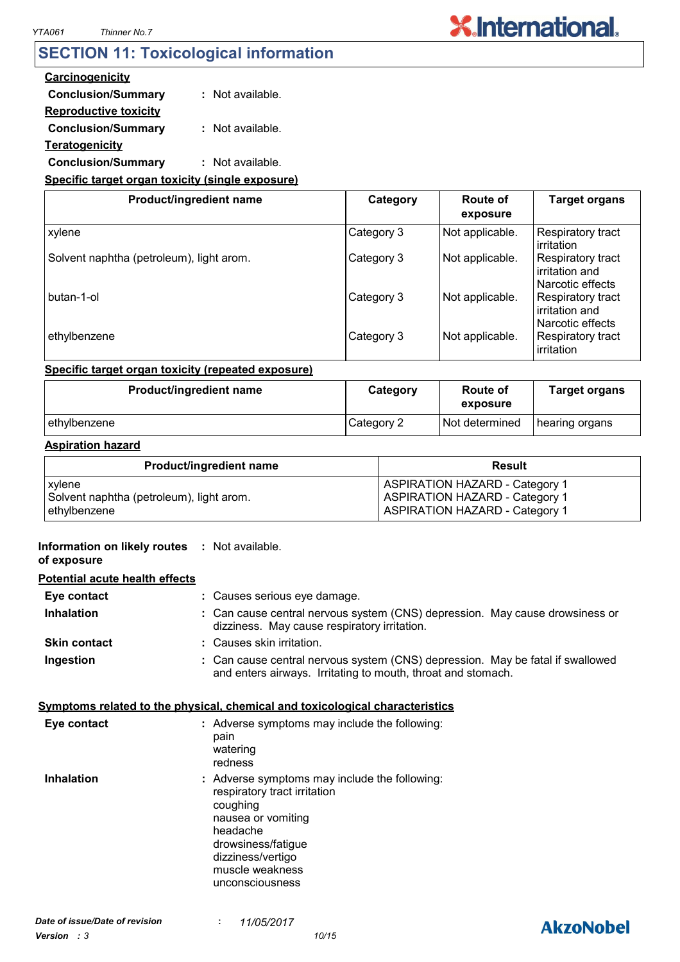### **SECTION 11: Toxicological information**

#### **Carcinogenicity**

**Conclusion/Summary :** Not available.

#### **Reproductive toxicity Conclusion/Summary :** Not available.

**Teratogenicity**

### **Conclusion/Summary :** Not available.

#### **Specific target organ toxicity (single exposure)**

| Product/ingredient name                  | Category   | Route of<br>exposure | <b>Target organs</b>                                    |
|------------------------------------------|------------|----------------------|---------------------------------------------------------|
| xylene                                   | Category 3 | Not applicable.      | Respiratory tract<br>irritation                         |
| Solvent naphtha (petroleum), light arom. | Category 3 | Not applicable.      | Respiratory tract<br>irritation and<br>Narcotic effects |
| l butan-1-ol                             | Category 3 | Not applicable.      | Respiratory tract<br>irritation and<br>Narcotic effects |
| ethylbenzene                             | Category 3 | Not applicable.      | Respiratory tract<br>irritation                         |

#### **Specific target organ toxicity (repeated exposure)**

| Product/ingredient name | Category   | Route of<br>exposure | <b>Target organs</b> |
|-------------------------|------------|----------------------|----------------------|
| ethylbenzene_           | Category 2 | Not determined       | hearing organs       |

#### **Aspiration hazard**

| <b>Product/ingredient name</b>           | <b>Result</b>                         |
|------------------------------------------|---------------------------------------|
| xylene                                   | <b>ASPIRATION HAZARD - Category 1</b> |
| Solvent naphtha (petroleum), light arom. | <b>ASPIRATION HAZARD - Category 1</b> |
| ethylbenzene                             | <b>ASPIRATION HAZARD - Category 1</b> |

#### **Information on likely routes : Not available.**

#### **of exposure**

| <b>Potential acute health effects</b> |                                                                                                                                                |
|---------------------------------------|------------------------------------------------------------------------------------------------------------------------------------------------|
| Eye contact                           | : Causes serious eye damage.                                                                                                                   |
| <b>Inhalation</b>                     | : Can cause central nervous system (CNS) depression. May cause drowsiness or<br>dizziness. May cause respiratory irritation.                   |
| <b>Skin contact</b>                   | : Causes skin irritation.                                                                                                                      |
| Ingestion                             | : Can cause central nervous system (CNS) depression. May be fatal if swallowed<br>and enters airways. Irritating to mouth, throat and stomach. |

#### **Symptoms related to the physical, chemical and toxicological characteristics**

| Eye contact       | : Adverse symptoms may include the following:<br>pain<br>watering<br>redness                                                                                                                                 |
|-------------------|--------------------------------------------------------------------------------------------------------------------------------------------------------------------------------------------------------------|
| <b>Inhalation</b> | : Adverse symptoms may include the following:<br>respiratory tract irritation<br>coughing<br>nausea or vomiting<br>headache<br>drowsiness/fatigue<br>dizziness/vertigo<br>muscle weakness<br>unconsciousness |

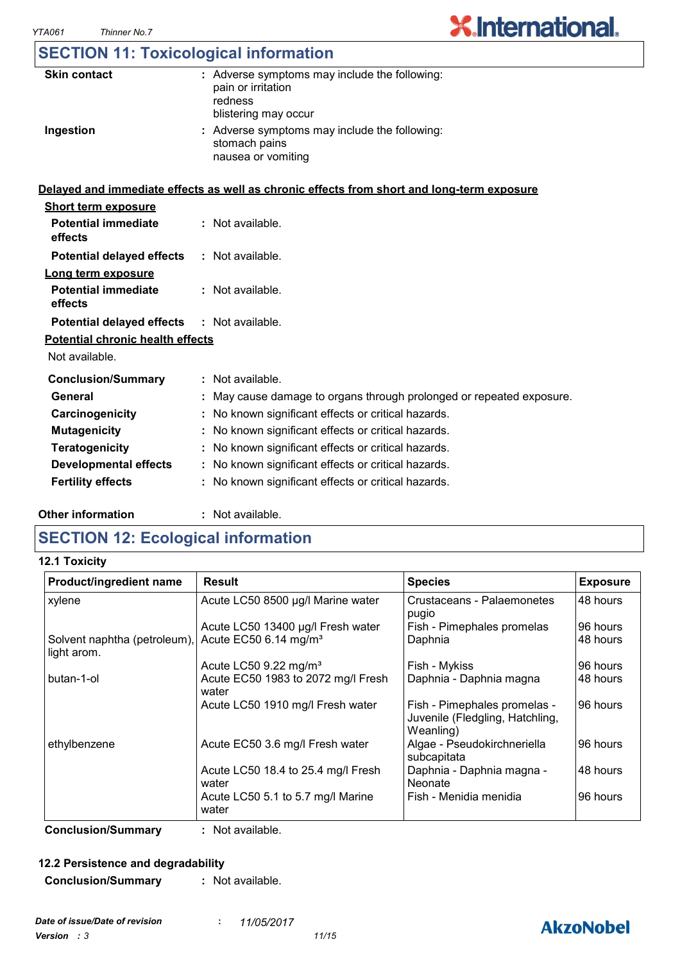## **SECTION 11: Toxicological information**

| <b>Skin contact</b>                     | : Adverse symptoms may include the following:<br>pain or irritation<br>redness<br>blistering may occur |
|-----------------------------------------|--------------------------------------------------------------------------------------------------------|
| Ingestion                               | : Adverse symptoms may include the following:<br>stomach pains<br>nausea or vomiting                   |
|                                         | Delayed and immediate effects as well as chronic effects from short and long-term exposure             |
| <b>Short term exposure</b>              |                                                                                                        |
| <b>Potential immediate</b><br>effects   | : Not available.                                                                                       |
| <b>Potential delayed effects</b>        | : Not available.                                                                                       |
| Long term exposure                      |                                                                                                        |
| <b>Potential immediate</b><br>effects   | : Not available.                                                                                       |
| <b>Potential delayed effects</b>        | : Not available.                                                                                       |
| <b>Potential chronic health effects</b> |                                                                                                        |
| Not available.                          |                                                                                                        |
| <b>Conclusion/Summary</b>               | : Not available.                                                                                       |
| General                                 | May cause damage to organs through prolonged or repeated exposure.                                     |
| Carcinogenicity                         | : No known significant effects or critical hazards.                                                    |
| <b>Mutagenicity</b>                     | No known significant effects or critical hazards.                                                      |
| <b>Teratogenicity</b>                   | No known significant effects or critical hazards.                                                      |
| <b>Developmental effects</b>            | : No known significant effects or critical hazards.                                                    |
| <b>Fertility effects</b>                | : No known significant effects or critical hazards.                                                    |
|                                         |                                                                                                        |

#### **Other information :**

: Not available.

### **SECTION 12: Ecological information**

**12.1 Toxicity**

| Product/ingredient name                     | <b>Result</b>                               | <b>Species</b>                                                               | <b>Exposure</b> |
|---------------------------------------------|---------------------------------------------|------------------------------------------------------------------------------|-----------------|
| xylene                                      | Acute LC50 8500 µg/l Marine water           | Crustaceans - Palaemonetes<br>pugio                                          | 48 hours        |
|                                             | Acute LC50 13400 µg/l Fresh water           | Fish - Pimephales promelas                                                   | 96 hours        |
| Solvent naphtha (petroleum),<br>light arom. | Acute EC50 6.14 mg/m <sup>3</sup>           | Daphnia                                                                      | 48 hours        |
|                                             | Acute LC50 9.22 mg/m <sup>3</sup>           | Fish - Mykiss                                                                | 96 hours        |
| butan-1-ol                                  | Acute EC50 1983 to 2072 mg/l Fresh<br>water | Daphnia - Daphnia magna                                                      | 48 hours        |
|                                             | Acute LC50 1910 mg/l Fresh water            | Fish - Pimephales promelas -<br>Juvenile (Fledgling, Hatchling,<br>Weanling) | 96 hours        |
| ethylbenzene                                | Acute EC50 3.6 mg/l Fresh water             | Algae - Pseudokirchneriella<br>subcapitata                                   | 96 hours        |
|                                             | Acute LC50 18.4 to 25.4 mg/l Fresh<br>water | Daphnia - Daphnia magna -<br><b>Neonate</b>                                  | 48 hours        |
|                                             | Acute LC50 5.1 to 5.7 mg/l Marine<br>water  | Fish - Menidia menidia                                                       | 96 hours        |

**Conclusion/Summary :** Not available.

#### **12.2 Persistence and degradability**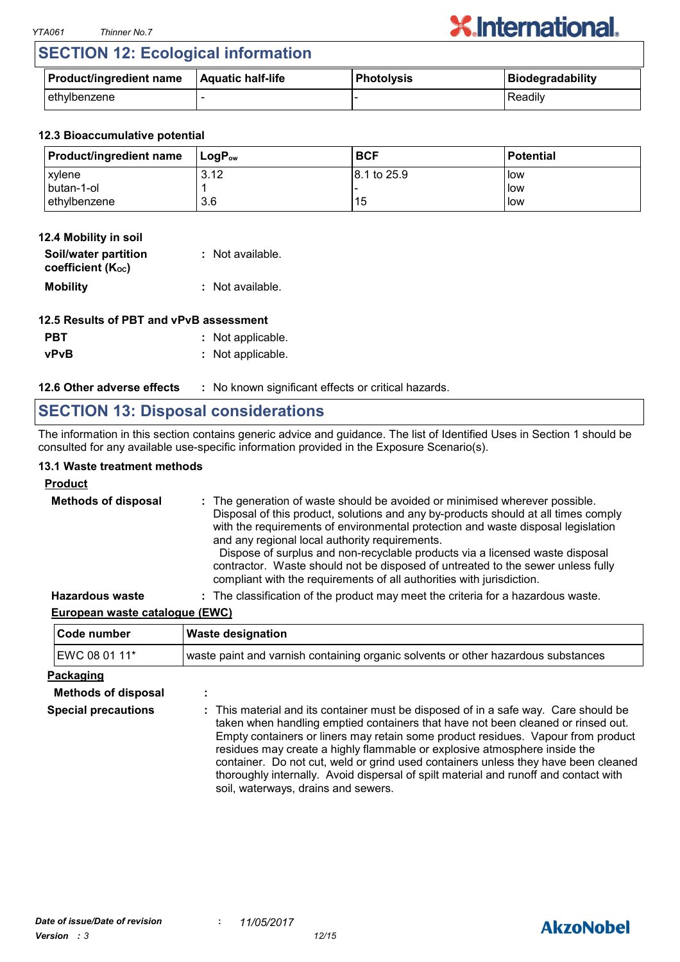### **SECTION 12: Ecological information**

| <b>Product/ingredient name</b> | Aquatic half-life | Photolysis | <b>Biodegradability</b> |
|--------------------------------|-------------------|------------|-------------------------|
| ethylbenzene                   |                   |            | Readily                 |

#### **12.3 Bioaccumulative potential**

| <b>Product/ingredient name</b> | ⊺LoɑP <sub>∾</sub> | <b>BCF</b>   | l Potential |
|--------------------------------|--------------------|--------------|-------------|
| xylene                         | 3.12               | 18.1 to 25.9 | low         |
| butan-1-ol                     |                    |              | <b>low</b>  |
| ethylbenzene                   | 3.6                | 15           | low         |

#### **12.4 Mobility in soil**

| Soil/water partition<br>coefficient (K <sub>oc</sub> ) | : Not available. |
|--------------------------------------------------------|------------------|
| <b>Mobility</b>                                        | : Not available. |

#### **12.5 Results of PBT and vPvB assessment**

**PBT** : Not applicable.

**vPvB :** Not applicable.

**12.6 Other adverse effects** : No known significant effects or critical hazards.

### **SECTION 13: Disposal considerations**

The information in this section contains generic advice and guidance. The list of Identified Uses in Section 1 should be consulted for any available use-specific information provided in the Exposure Scenario(s).

#### **13.1 Waste treatment methods**

## **Product**

| <b>Methods of disposal</b> | : The generation of waste should be avoided or minimised wherever possible.<br>Disposal of this product, solutions and any by-products should at all times comply<br>with the requirements of environmental protection and waste disposal legislation<br>and any regional local authority requirements.<br>Dispose of surplus and non-recyclable products via a licensed waste disposal<br>contractor. Waste should not be disposed of untreated to the sewer unless fully<br>compliant with the requirements of all authorities with jurisdiction. |
|----------------------------|-----------------------------------------------------------------------------------------------------------------------------------------------------------------------------------------------------------------------------------------------------------------------------------------------------------------------------------------------------------------------------------------------------------------------------------------------------------------------------------------------------------------------------------------------------|
| <b>Hazardous waste</b>     | : The classification of the product may meet the criteria for a hazardous waste.                                                                                                                                                                                                                                                                                                                                                                                                                                                                    |

#### **European waste catalogue (EWC)**

| <b>Code number</b> | <b>Waste designation</b>                                                          |  |
|--------------------|-----------------------------------------------------------------------------------|--|
| EWC 08 01 11*      | waste paint and varnish containing organic solvents or other hazardous substances |  |

#### **Packaging**

| <b>Methods of disposal</b> |                                                                                                                                                                                                                                                                                                                                                                                                                                                                                                                                                               |
|----------------------------|---------------------------------------------------------------------------------------------------------------------------------------------------------------------------------------------------------------------------------------------------------------------------------------------------------------------------------------------------------------------------------------------------------------------------------------------------------------------------------------------------------------------------------------------------------------|
| <b>Special precautions</b> | : This material and its container must be disposed of in a safe way. Care should be<br>taken when handling emptied containers that have not been cleaned or rinsed out.<br>Empty containers or liners may retain some product residues. Vapour from product<br>residues may create a highly flammable or explosive atmosphere inside the<br>container. Do not cut, weld or grind used containers unless they have been cleaned<br>thoroughly internally. Avoid dispersal of spilt material and runoff and contact with<br>soil, waterways, drains and sewers. |

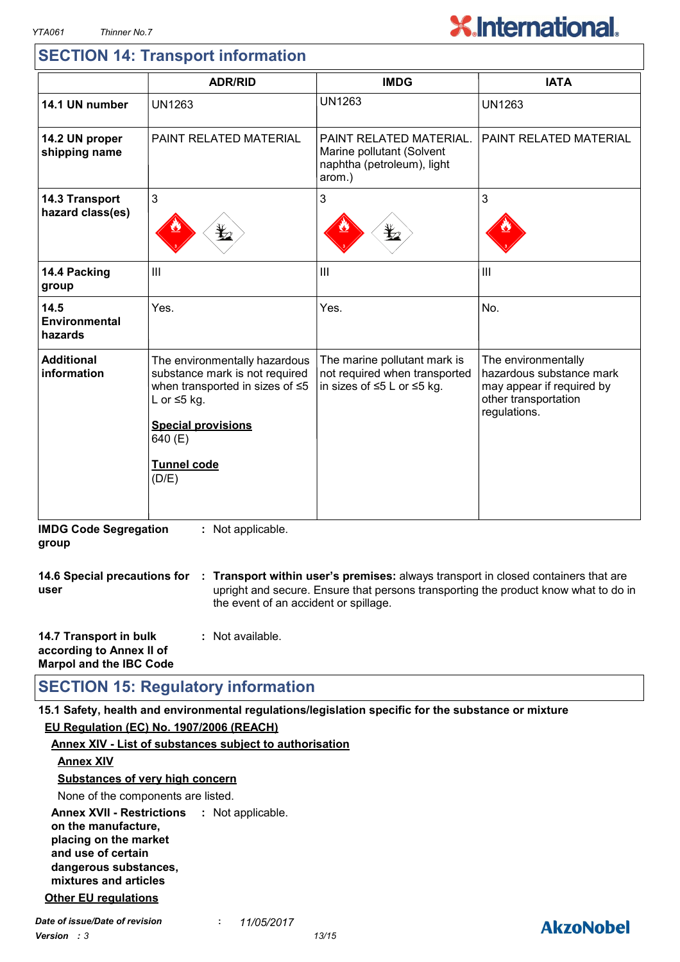### **SECTION 14: Transport information**

|                                         | <b>ADR/RID</b>                                                                                                                                                                          | <b>IMDG</b>                                                                                  | <b>IATA</b>                                                                                                          |
|-----------------------------------------|-----------------------------------------------------------------------------------------------------------------------------------------------------------------------------------------|----------------------------------------------------------------------------------------------|----------------------------------------------------------------------------------------------------------------------|
| 14.1 UN number                          | <b>UN1263</b>                                                                                                                                                                           | <b>UN1263</b>                                                                                | <b>UN1263</b>                                                                                                        |
| 14.2 UN proper<br>shipping name         | PAINT RELATED MATERIAL                                                                                                                                                                  | PAINT RELATED MATERIAL.<br>Marine pollutant (Solvent<br>naphtha (petroleum), light<br>arom.) | PAINT RELATED MATERIAL                                                                                               |
| 14.3 Transport<br>hazard class(es)      | $\mathbf{3}$<br>⋭2                                                                                                                                                                      | 3                                                                                            | 3                                                                                                                    |
| 14.4 Packing<br>group                   | III                                                                                                                                                                                     | III                                                                                          | $\mathbf{III}$                                                                                                       |
| 14.5<br><b>Environmental</b><br>hazards | Yes.                                                                                                                                                                                    | Yes.                                                                                         | No.                                                                                                                  |
| <b>Additional</b><br>information        | The environmentally hazardous<br>substance mark is not required<br>when transported in sizes of ≤5<br>L or $\leq$ 5 kg.<br><b>Special provisions</b><br>640 (E)<br>Tunnel code<br>(D/E) | The marine pollutant mark is<br>not required when transported<br>in sizes of ≤5 L or ≤5 kg.  | The environmentally<br>hazardous substance mark<br>may appear if required by<br>other transportation<br>regulations. |

**14.6 Special precautions for : Transport within user's premises:** always transport in closed containers that are **user** upright and secure. Ensure that persons transporting the product know what to do in the event of an accident or spillage.

| 14.7 Transport in bulk         | : Not available. |
|--------------------------------|------------------|
| according to Annex II of       |                  |
| <b>Marpol and the IBC Code</b> |                  |

### **SECTION 15: Regulatory information**

**15.1 Safety, health and environmental regulations/legislation specific for the substance or mixture**

#### **EU Regulation (EC) No. 1907/2006 (REACH)**

#### **Annex XVII - Restrictions : Not applicable. on the manufacture, placing on the market and use of certain dangerous substances, mixtures and articles Annex XIV - List of substances subject to authorisation Annex XIV Substances of very high concern** None of the components are listed. **Other EU regulations**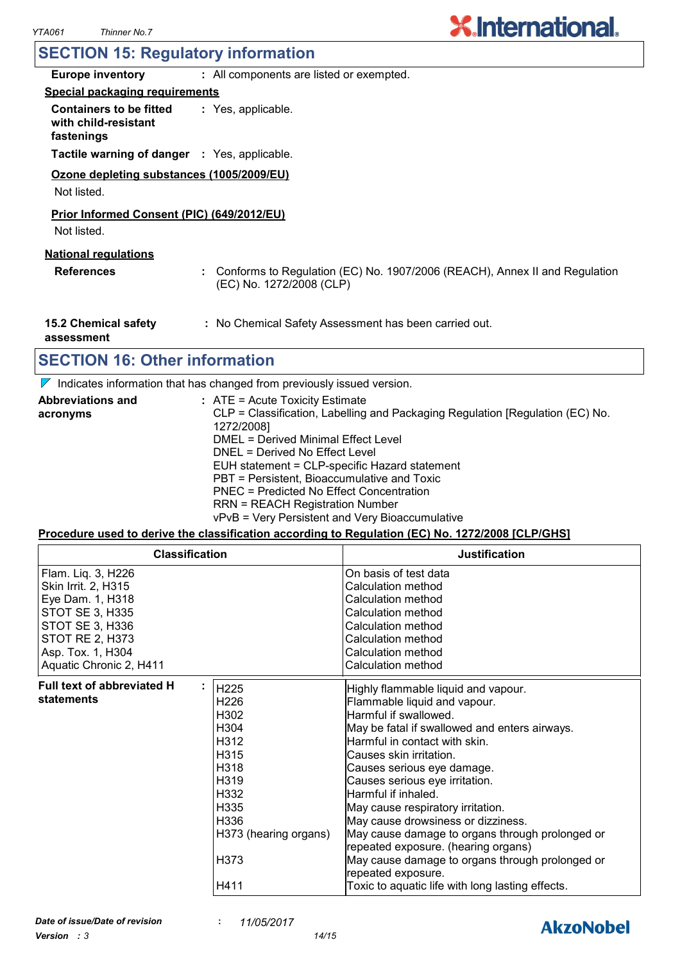### **SECTION 15: Regulatory information**

| <b>Europe inventory</b>                                              | : All components are listed or exempted.                                                               |  |  |  |
|----------------------------------------------------------------------|--------------------------------------------------------------------------------------------------------|--|--|--|
| <b>Special packaging requirements</b>                                |                                                                                                        |  |  |  |
| <b>Containers to be fitted</b><br>with child-resistant<br>fastenings | : Yes, applicable.                                                                                     |  |  |  |
| <b>Tactile warning of danger : Yes, applicable.</b>                  |                                                                                                        |  |  |  |
| Ozone depleting substances (1005/2009/EU)<br>Not listed.             |                                                                                                        |  |  |  |
| Prior Informed Consent (PIC) (649/2012/EU)<br>Not listed.            |                                                                                                        |  |  |  |
| <b>National regulations</b><br><b>References</b>                     | Conforms to Regulation (EC) No. 1907/2006 (REACH), Annex II and Regulation<br>(EC) No. 1272/2008 (CLP) |  |  |  |
| 15.2 Chemical safety<br>assessment                                   | : No Chemical Safety Assessment has been carried out.                                                  |  |  |  |
| SECTION 16: Other information                                        |                                                                                                        |  |  |  |

### **16: Other information**

 $\nabla$  Indicates information that has changed from previously issued version.

| <b>Abbreviations and</b> | $:$ ATE = Acute Toxicity Estimate                                             |
|--------------------------|-------------------------------------------------------------------------------|
| acronyms                 | CLP = Classification, Labelling and Packaging Regulation [Regulation (EC) No. |
|                          | 1272/2008]                                                                    |
|                          | DMEL = Derived Minimal Effect Level                                           |
|                          | DNEL = Derived No Effect Level                                                |
|                          | EUH statement = CLP-specific Hazard statement                                 |
|                          | PBT = Persistent, Bioaccumulative and Toxic                                   |
|                          | PNEC = Predicted No Effect Concentration                                      |
|                          | <b>RRN = REACH Registration Number</b>                                        |
|                          | vPvB = Very Persistent and Very Bioaccumulative                               |

#### **Procedure used to derive the classification according to Regulation (EC) No. 1272/2008 [CLP/GHS]**

| <b>Classification</b>                                                                                                                                                         |                                                                                                                                                                                                                   | <b>Justification</b>                                                                                                                                                                                                                                                                                                                                                                                                                                                                                                                                                                               |
|-------------------------------------------------------------------------------------------------------------------------------------------------------------------------------|-------------------------------------------------------------------------------------------------------------------------------------------------------------------------------------------------------------------|----------------------------------------------------------------------------------------------------------------------------------------------------------------------------------------------------------------------------------------------------------------------------------------------------------------------------------------------------------------------------------------------------------------------------------------------------------------------------------------------------------------------------------------------------------------------------------------------------|
| Flam. Liq. 3, H226<br>Skin Irrit. 2, H315<br>Eye Dam. 1, H318<br>STOT SE 3, H335<br>STOT SE 3, H336<br><b>STOT RE 2, H373</b><br>Asp. Tox. 1, H304<br>Aquatic Chronic 2, H411 |                                                                                                                                                                                                                   | On basis of test data<br>Calculation method<br>Calculation method<br>Calculation method<br>Calculation method<br>Calculation method<br>Calculation method<br>Calculation method                                                                                                                                                                                                                                                                                                                                                                                                                    |
| <b>Full text of abbreviated H</b><br>statements                                                                                                                               | H225<br>H <sub>226</sub><br>H302<br>H <sub>304</sub><br>H <sub>312</sub><br>H <sub>315</sub><br>H <sub>318</sub><br>H319<br>H <sub>332</sub><br>H335<br>H336<br>H373 (hearing organs)<br>H <sub>373</sub><br>H411 | Highly flammable liquid and vapour.<br>Flammable liquid and vapour.<br>Harmful if swallowed.<br>May be fatal if swallowed and enters airways.<br>Harmful in contact with skin.<br>Causes skin irritation.<br>Causes serious eye damage.<br>Causes serious eye irritation.<br>Harmful if inhaled.<br>May cause respiratory irritation.<br>May cause drowsiness or dizziness.<br>May cause damage to organs through prolonged or<br>repeated exposure. (hearing organs)<br>May cause damage to organs through prolonged or<br>repeated exposure.<br>Toxic to aquatic life with long lasting effects. |